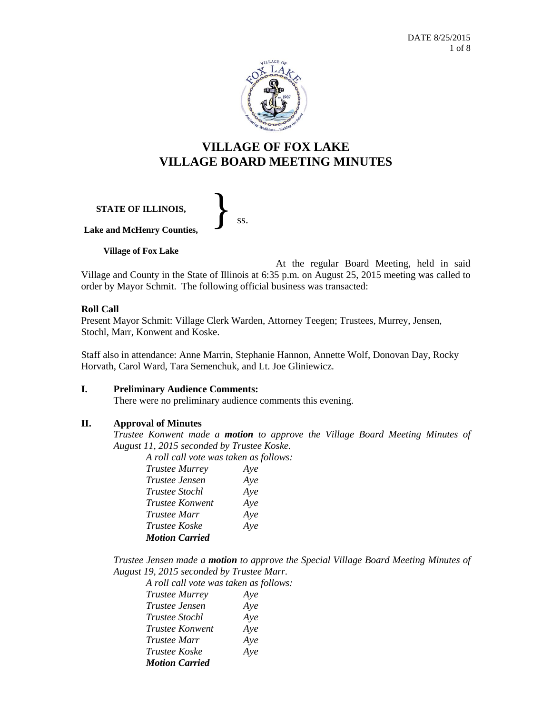

# **VILLAGE OF FOX LAKE VILLAGE BOARD MEETING MINUTES**

**STATE OF ILLINOIS, Lake and McHenry Counties,** }<br>*ss.* 

**Village of Fox Lake**

At the regular Board Meeting, held in said Village and County in the State of Illinois at 6:35 p.m. on August 25, 2015 meeting was called to order by Mayor Schmit. The following official business was transacted:

# **Roll Call**

Present Mayor Schmit: Village Clerk Warden, Attorney Teegen; Trustees, Murrey, Jensen, Stochl, Marr, Konwent and Koske.

Staff also in attendance: Anne Marrin, Stephanie Hannon, Annette Wolf, Donovan Day, Rocky Horvath, Carol Ward, Tara Semenchuk, and Lt. Joe Gliniewicz.

# **I. Preliminary Audience Comments:**

There were no preliminary audience comments this evening.

# **II. Approval of Minutes**

*Trustee Konwent made a motion to approve the Village Board Meeting Minutes of August 11, 2015 seconded by Trustee Koske.*

*A roll call vote was taken as follows:* 

| <b>Trustee Murrey</b>  |     |
|------------------------|-----|
|                        | Aye |
| Trustee Jensen         | Aye |
| <i>Trustee Stochl</i>  | Aye |
| <b>Trustee Konwent</b> | Aye |
| Trustee Marr           | Aye |
| <i>Trustee Koske</i>   | Aye |
| <b>Motion Carried</b>  |     |
|                        |     |

*Trustee Jensen made a motion to approve the Special Village Board Meeting Minutes of August 19, 2015 seconded by Trustee Marr.*

*A roll call vote was taken as follows: Trustee Murrey Aye Trustee Jensen Aye Trustee Stochl Aye Trustee Konwent Aye Trustee Marr Aye Trustee Koske Aye Motion Carried*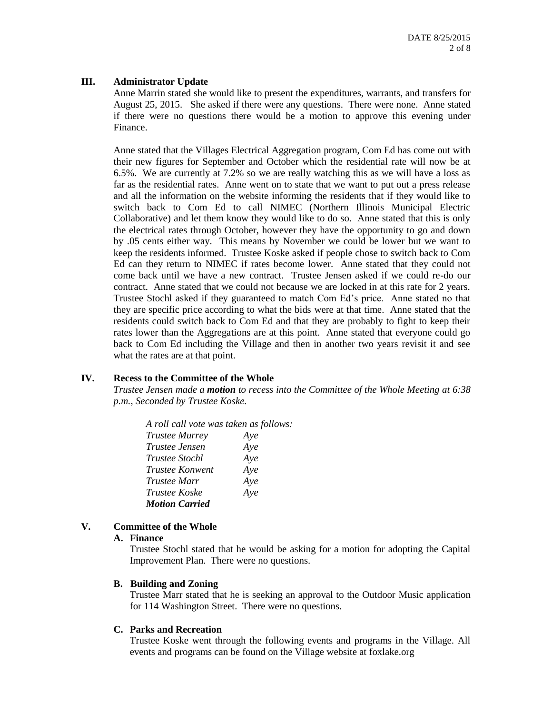# **III. Administrator Update**

Anne Marrin stated she would like to present the expenditures, warrants, and transfers for August 25, 2015. She asked if there were any questions. There were none. Anne stated if there were no questions there would be a motion to approve this evening under Finance.

Anne stated that the Villages Electrical Aggregation program, Com Ed has come out with their new figures for September and October which the residential rate will now be at 6.5%. We are currently at 7.2% so we are really watching this as we will have a loss as far as the residential rates. Anne went on to state that we want to put out a press release and all the information on the website informing the residents that if they would like to switch back to Com Ed to call NIMEC (Northern Illinois Municipal Electric Collaborative) and let them know they would like to do so. Anne stated that this is only the electrical rates through October, however they have the opportunity to go and down by .05 cents either way. This means by November we could be lower but we want to keep the residents informed. Trustee Koske asked if people chose to switch back to Com Ed can they return to NIMEC if rates become lower. Anne stated that they could not come back until we have a new contract. Trustee Jensen asked if we could re-do our contract. Anne stated that we could not because we are locked in at this rate for 2 years. Trustee Stochl asked if they guaranteed to match Com Ed's price. Anne stated no that they are specific price according to what the bids were at that time. Anne stated that the residents could switch back to Com Ed and that they are probably to fight to keep their rates lower than the Aggregations are at this point. Anne stated that everyone could go back to Com Ed including the Village and then in another two years revisit it and see what the rates are at that point.

# **IV. Recess to the Committee of the Whole**

*Trustee Jensen made a motion to recess into the Committee of the Whole Meeting at 6:38 p.m., Seconded by Trustee Koske.*

*A roll call vote was taken as follows: Trustee Murrey Aye Trustee Jensen Aye Trustee Stochl Aye Trustee Konwent Aye Trustee Marr Aye Trustee Koske Aye Motion Carried*

# **V. Committee of the Whole**

# **A. Finance**

Trustee Stochl stated that he would be asking for a motion for adopting the Capital Improvement Plan. There were no questions.

# **B. Building and Zoning**

Trustee Marr stated that he is seeking an approval to the Outdoor Music application for 114 Washington Street. There were no questions.

# **C. Parks and Recreation**

Trustee Koske went through the following events and programs in the Village. All events and programs can be found on the Village website at foxlake.org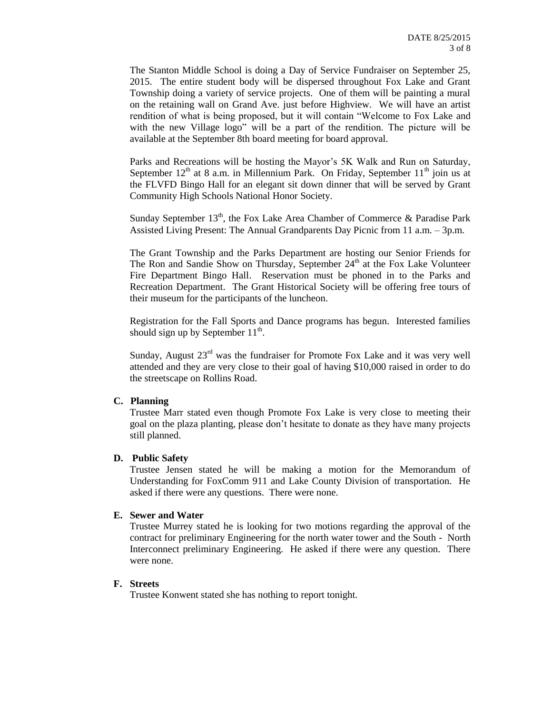The Stanton Middle School is doing a Day of Service Fundraiser on September 25, 2015. The entire student body will be dispersed throughout Fox Lake and Grant Township doing a variety of service projects. One of them will be painting a mural on the retaining wall on Grand Ave. just before Highview. We will have an artist rendition of what is being proposed, but it will contain "Welcome to Fox Lake and with the new Village logo" will be a part of the rendition. The picture will be available at the September 8th board meeting for board approval.

Parks and Recreations will be hosting the Mayor's 5K Walk and Run on Saturday, September  $12<sup>th</sup>$  at 8 a.m. in Millennium Park. On Friday, September  $11<sup>th</sup>$  join us at the FLVFD Bingo Hall for an elegant sit down dinner that will be served by Grant Community High Schools National Honor Society.

Sunday September  $13<sup>th</sup>$ , the Fox Lake Area Chamber of Commerce & Paradise Park Assisted Living Present: The Annual Grandparents Day Picnic from 11 a.m. – 3p.m.

The Grant Township and the Parks Department are hosting our Senior Friends for The Ron and Sandie Show on Thursday, September  $24<sup>th</sup>$  at the Fox Lake Volunteer Fire Department Bingo Hall. Reservation must be phoned in to the Parks and Recreation Department. The Grant Historical Society will be offering free tours of their museum for the participants of the luncheon.

Registration for the Fall Sports and Dance programs has begun. Interested families should sign up by September  $11<sup>th</sup>$ .

Sunday, August  $23<sup>rd</sup>$  was the fundraiser for Promote Fox Lake and it was very well attended and they are very close to their goal of having \$10,000 raised in order to do the streetscape on Rollins Road.

# **C. Planning**

Trustee Marr stated even though Promote Fox Lake is very close to meeting their goal on the plaza planting, please don't hesitate to donate as they have many projects still planned.

# **D. Public Safety**

Trustee Jensen stated he will be making a motion for the Memorandum of Understanding for FoxComm 911 and Lake County Division of transportation. He asked if there were any questions. There were none.

# **E. Sewer and Water**

Trustee Murrey stated he is looking for two motions regarding the approval of the contract for preliminary Engineering for the north water tower and the South - North Interconnect preliminary Engineering. He asked if there were any question. There were none.

# **F. Streets**

Trustee Konwent stated she has nothing to report tonight.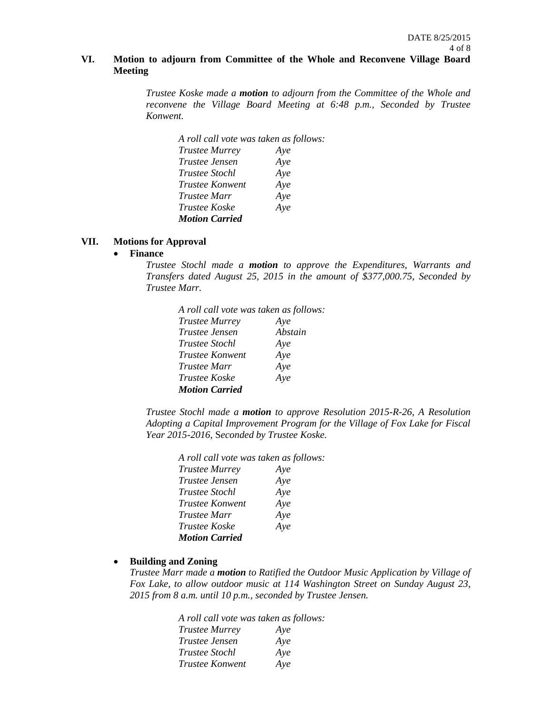# **VI. Motion to adjourn from Committee of the Whole and Reconvene Village Board Meeting**

*Trustee Koske made a motion to adjourn from the Committee of the Whole and reconvene the Village Board Meeting at 6:48 p.m., Seconded by Trustee Konwent.*

| A roll call vote was taken as follows: |     |
|----------------------------------------|-----|
| <b>Trustee Murrey</b>                  | Aye |
| Trustee Jensen                         | Aye |
| <i>Trustee Stochl</i>                  | Aye |
| <i>Trustee Konwent</i>                 | Aye |
| <i>Trustee Marr</i>                    | Aye |
| Trustee Koske                          | Aye |
| <b>Motion Carried</b>                  |     |

# **VII. Motions for Approval**

## **Finance**

*Trustee Stochl made a motion to approve the Expenditures, Warrants and Transfers dated August 25, 2015 in the amount of \$377,000.75, Seconded by Trustee Marr.*

| A roll call vote was taken as follows: |         |
|----------------------------------------|---------|
| <b>Trustee Murrey</b>                  | Aye     |
| Trustee Jensen                         | Abstain |
| Trustee Stochl                         | Aye     |
| Trustee Konwent                        | Aye     |
| Trustee Marr                           | Aye     |
| Trustee Koske                          | Aye     |
| <b>Motion Carried</b>                  |         |
|                                        |         |

*Trustee Stochl made a motion to approve Resolution 2015-R-26, A Resolution Adopting a Capital Improvement Program for the Village of Fox Lake for Fiscal Year 2015-2016*, S*econded by Trustee Koske.*

| A roll call vote was taken as follows: |     |
|----------------------------------------|-----|
| <b>Trustee Murrey</b>                  | Aye |
| Trustee Jensen                         | Aye |
| <i>Trustee Stochl</i>                  | Aye |
| <i>Trustee Konwent</i>                 | Aye |
| <i>Trustee Marr</i>                    | Aye |
| <i>Trustee Koske</i>                   | Aye |
| <b>Motion Carried</b>                  |     |

#### **Building and Zoning**

*Trustee Marr made a motion to Ratified the Outdoor Music Application by Village of Fox Lake, to allow outdoor music at 114 Washington Street on Sunday August 23, 2015 from 8 a.m. until 10 p.m., seconded by Trustee Jensen.*

> *A roll call vote was taken as follows: Trustee Murrey Aye Trustee Jensen Aye Trustee Stochl Aye Trustee Konwent Aye*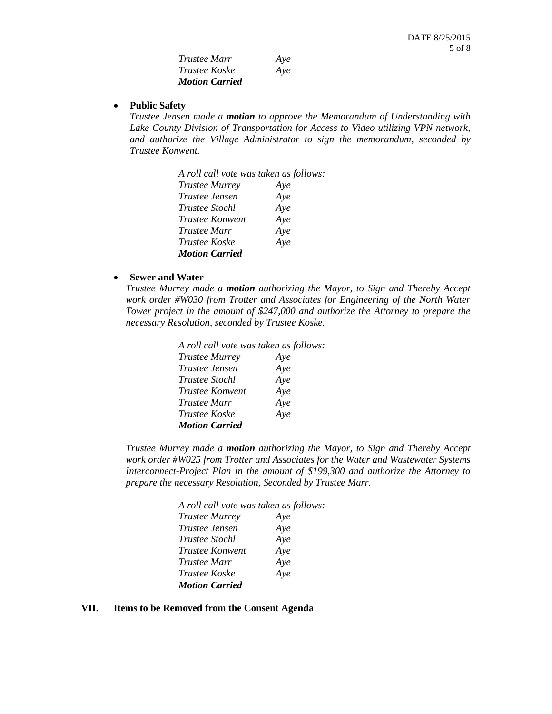| Trustee Marr          | Aye |
|-----------------------|-----|
| Trustee Koske         | Aye |
| <b>Motion Carried</b> |     |

#### **Public Safety**

*Trustee Jensen made a motion to approve the Memorandum of Understanding with Lake County Division of Transportation for Access to Video utilizing VPN network, and authorize the Village Administrator to sign the memorandum, seconded by Trustee Konwent.*

| A roll call vote was taken as follows: |     |
|----------------------------------------|-----|
| <b>Trustee Murrey</b>                  | Aye |
| <i>Trustee Jensen</i>                  | Aye |
| <i>Trustee Stochl</i>                  | Aye |
| Trustee Konwent                        | Aye |
| <b>Trustee Marr</b>                    | Aye |
| Trustee Koske                          | Aye |
| <b>Motion Carried</b>                  |     |

# **Sewer and Water**

*Trustee Murrey made a motion authorizing the Mayor, to Sign and Thereby Accept work order #W030 from Trotter and Associates for Engineering of the North Water Tower project in the amount of \$247,000 and authorize the Attorney to prepare the necessary Resolution, seconded by Trustee Koske.*

| A roll call vote was taken as follows: |     |
|----------------------------------------|-----|
| <b>Trustee Murrey</b>                  | Aye |
| Trustee Jensen                         | Aye |
| <i>Trustee Stochl</i>                  | Aye |
| Trustee Konwent                        | Aye |
| Trustee Marr                           | Aye |
| <i>Trustee Koske</i>                   | Aye |
| <b>Motion Carried</b>                  |     |

*Trustee Murrey made a motion authorizing the Mayor, to Sign and Thereby Accept work order #W025 from Trotter and Associates for the Water and Wastewater Systems Interconnect-Project Plan in the amount of \$199,300 and authorize the Attorney to prepare the necessary Resolution, Seconded by Trustee Marr.*

| A roll call vote was taken as follows: |     |
|----------------------------------------|-----|
| <b>Trustee Murrey</b>                  | Aye |
| <i>Trustee Jensen</i>                  | Aye |
| <i>Trustee Stochl</i>                  | Aye |
| <i>Trustee Konwent</i>                 | Aye |
| Trustee Marr                           | Aye |
| <i>Trustee Koske</i>                   | Aye |
| <b>Motion Carried</b>                  |     |

#### **VII. Items to be Removed from the Consent Agenda**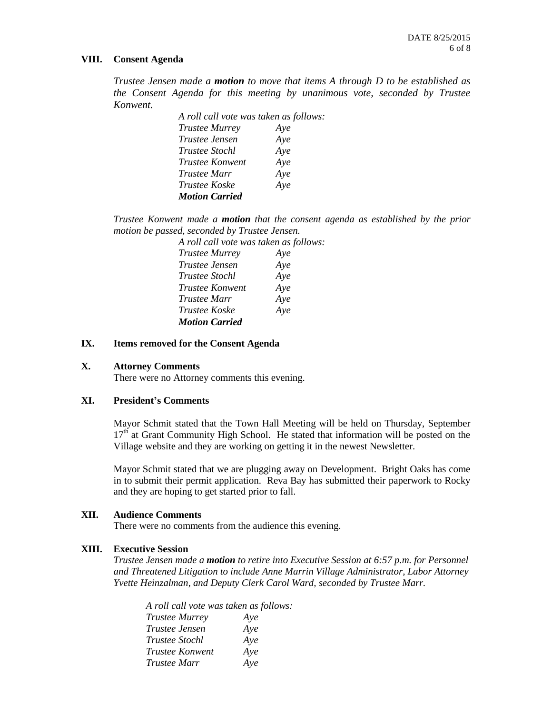#### **VIII. Consent Agenda**

*Trustee Jensen made a motion to move that items A through D to be established as the Consent Agenda for this meeting by unanimous vote, seconded by Trustee Konwent.*

> *A roll call vote was taken as follows: Trustee Murrey Aye Trustee Jensen Aye Trustee Stochl Aye Trustee Konwent Aye Trustee Marr Aye Trustee Koske Aye Motion Carried*

*Trustee Konwent made a motion that the consent agenda as established by the prior motion be passed, seconded by Trustee Jensen.*

| A roll call vote was taken as follows: |     |
|----------------------------------------|-----|
| <b>Trustee Murrey</b>                  | Aye |
| <i>Trustee Jensen</i>                  | Aye |
| <i>Trustee Stochl</i>                  | Aye |
| Trustee Konwent                        | Aye |
| <i>Trustee Marr</i>                    | Aye |
| <i>Trustee Koske</i>                   | Aye |
| <b>Motion Carried</b>                  |     |

## **IX. Items removed for the Consent Agenda**

### **X. Attorney Comments**

There were no Attorney comments this evening.

# **XI. President's Comments**

Mayor Schmit stated that the Town Hall Meeting will be held on Thursday, September  $17<sup>th</sup>$  at Grant Community High School. He stated that information will be posted on the Village website and they are working on getting it in the newest Newsletter.

Mayor Schmit stated that we are plugging away on Development. Bright Oaks has come in to submit their permit application. Reva Bay has submitted their paperwork to Rocky and they are hoping to get started prior to fall.

#### **XII. Audience Comments**

There were no comments from the audience this evening.

#### **XIII. Executive Session**

*Trustee Jensen made a motion to retire into Executive Session at 6:57 p.m. for Personnel and Threatened Litigation to include Anne Marrin Village Administrator, Labor Attorney Yvette Heinzalman, and Deputy Clerk Carol Ward, seconded by Trustee Marr.*

*A roll call vote was taken as follows: Trustee Murrey Aye Trustee Jensen Aye Trustee Stochl Aye Trustee Konwent Aye Trustee Marr Aye*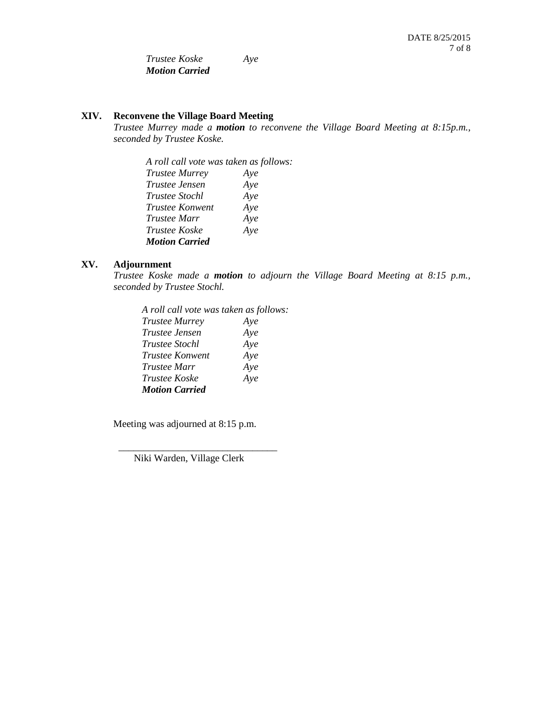*Trustee Koske Aye Motion Carried* 

# **XIV. Reconvene the Village Board Meeting**

*Trustee Murrey made a motion to reconvene the Village Board Meeting at 8:15p.m., seconded by Trustee Koske.*

*A roll call vote was taken as follows: Trustee Murrey Aye Trustee Jensen Aye Trustee Stochl Aye Trustee Konwent Aye Trustee Marr Aye Trustee Koske Aye Motion Carried*

# **XV. Adjournment**

*Trustee Koske made a motion to adjourn the Village Board Meeting at 8:15 p.m., seconded by Trustee Stochl.*

*A roll call vote was taken as follows: Trustee Murrey Aye Trustee Jensen Aye Trustee Stochl Aye Trustee Konwent Aye Trustee Marr Aye Trustee Koske Aye Motion Carried*

Meeting was adjourned at 8:15 p.m.

Niki Warden, Village Clerk

\_\_\_\_\_\_\_\_\_\_\_\_\_\_\_\_\_\_\_\_\_\_\_\_\_\_\_\_\_\_\_\_